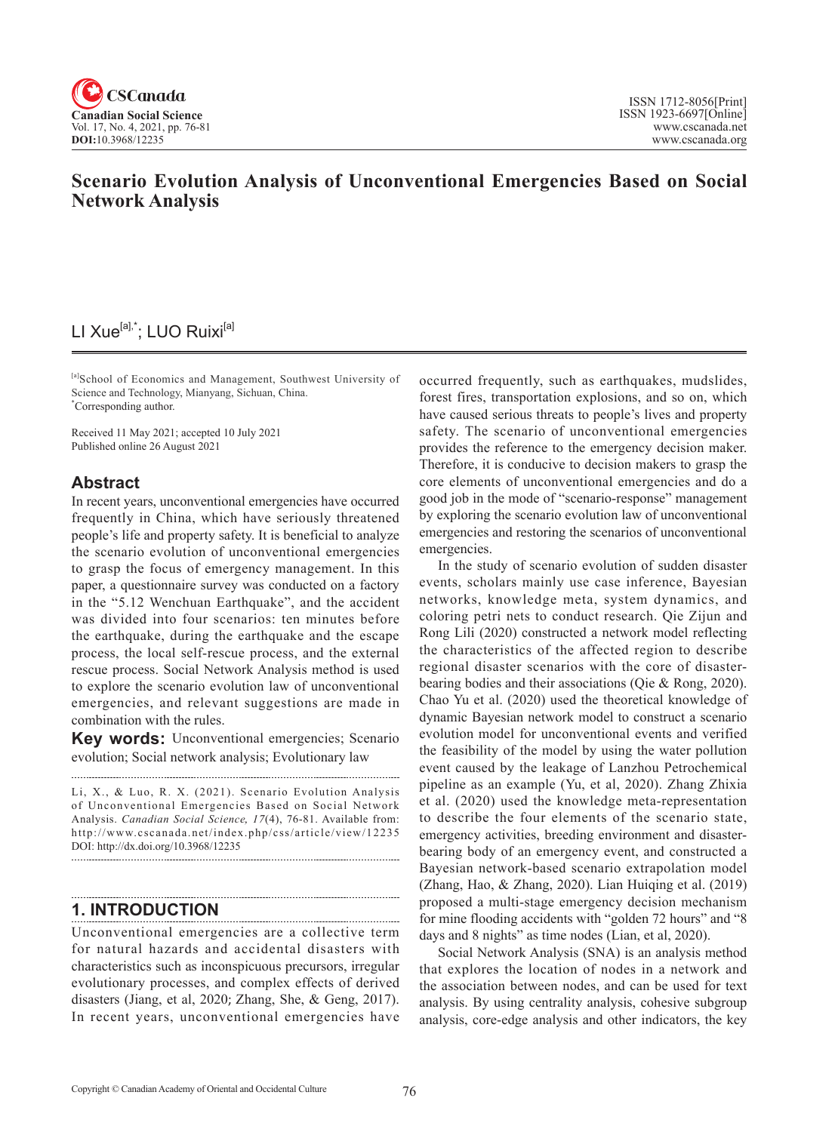

# **Scenario Evolution Analysis of Unconventional Emergencies Based on Social Network Analysis**

# LI Xue<sup>[a],\*</sup>; LUO Ruixi<sup>[a]</sup>

[a]School of Economics and Management, Southwest University of Science and Technology, Mianyang, Sichuan, China. \* Corresponding author.

Received 11 May 2021; accepted 10 July 2021 Published online 26 August 2021

## **Abstract**

In recent years, unconventional emergencies have occurred frequently in China, which have seriously threatened people's life and property safety. It is beneficial to analyze the scenario evolution of unconventional emergencies to grasp the focus of emergency management. In this paper, a questionnaire survey was conducted on a factory in the "5.12 Wenchuan Earthquake", and the accident was divided into four scenarios: ten minutes before the earthquake, during the earthquake and the escape process, the local self-rescue process, and the external rescue process. Social Network Analysis method is used to explore the scenario evolution law of unconventional emergencies, and relevant suggestions are made in combination with the rules.

**Key words:** Unconventional emergencies; Scenario evolution; Social network analysis; Evolutionary law

Li, X., & Luo, R. X. (2021). Scenario Evolution Analysis of Unconventional Emergencies Based on Social Network Analysis. *Canadian Social Science*, 17(4), 76-81. Available from: http://www.cscanada.net/index.php/css/article/view/12235 DOI: http://dx.doi.org/10.3968/12235 

## **1. INTRODUCTION**

Unconventional emergencies are a collective term for natural hazards and accidental disasters with characteristics such as inconspicuous precursors, irregular evolutionary processes, and complex effects of derived disasters (Jiang, et al, 2020; Zhang, She, & Geng, 2017). In recent years, unconventional emergencies have

occurred frequently, such as earthquakes, mudslides, forest fires, transportation explosions, and so on, which have caused serious threats to people's lives and property safety. The scenario of unconventional emergencies provides the reference to the emergency decision maker. Therefore, it is conducive to decision makers to grasp the core elements of unconventional emergencies and do a good job in the mode of "scenario-response" management by exploring the scenario evolution law of unconventional emergencies and restoring the scenarios of unconventional emergencies.

In the study of scenario evolution of sudden disaster events, scholars mainly use case inference, Bayesian networks, knowledge meta, system dynamics, and coloring petri nets to conduct research. Qie Zijun and Rong Lili (2020) constructed a network model reflecting the characteristics of the affected region to describe regional disaster scenarios with the core of disasterbearing bodies and their associations (Qie & Rong, 2020). Chao Yu et al. (2020) used the theoretical knowledge of dynamic Bayesian network model to construct a scenario evolution model for unconventional events and verified the feasibility of the model by using the water pollution event caused by the leakage of Lanzhou Petrochemical pipeline as an example (Yu, et al, 2020). Zhang Zhixia et al. (2020) used the knowledge meta-representation to describe the four elements of the scenario state, emergency activities, breeding environment and disasterbearing body of an emergency event, and constructed a Bayesian network-based scenario extrapolation model (Zhang, Hao, & Zhang, 2020). Lian Huiqing et al. (2019) proposed a multi-stage emergency decision mechanism for mine flooding accidents with "golden 72 hours" and "8 days and 8 nights" as time nodes (Lian, et al, 2020).

Social Network Analysis (SNA) is an analysis method that explores the location of nodes in a network and the association between nodes, and can be used for text analysis. By using centrality analysis, cohesive subgroup analysis, core-edge analysis and other indicators, the key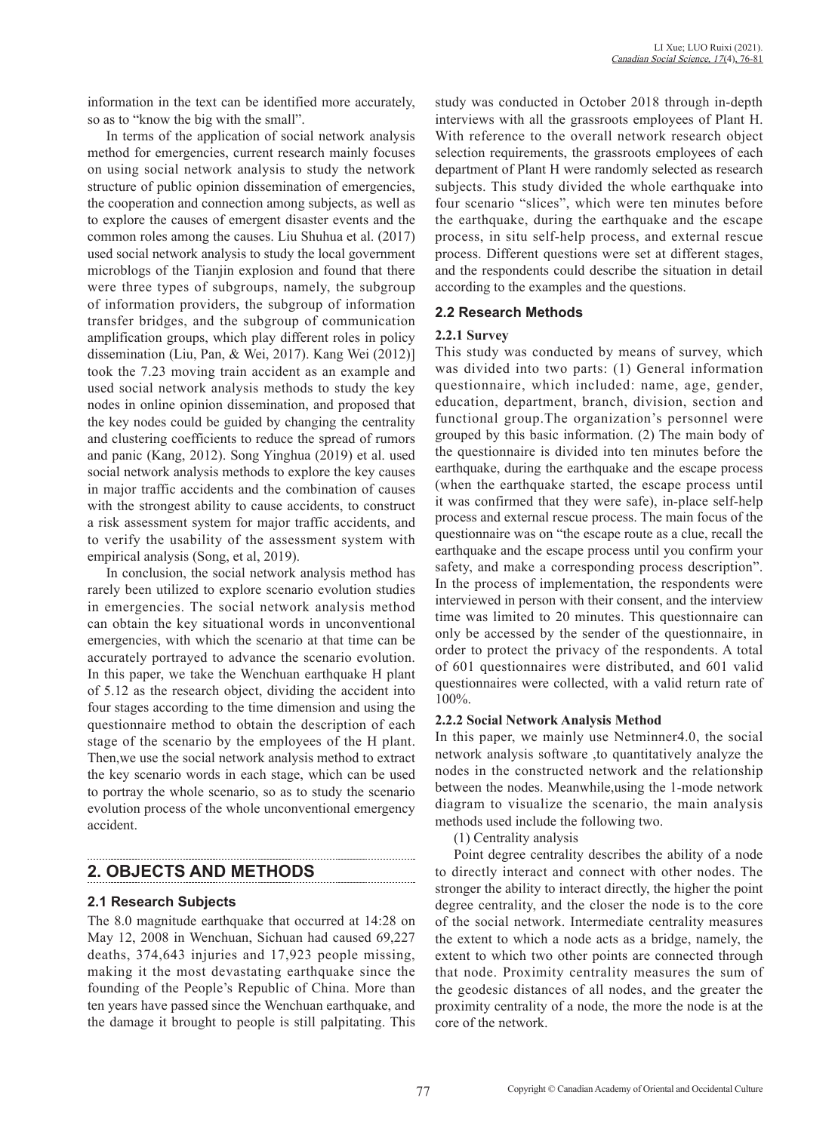information in the text can be identified more accurately, so as to "know the big with the small".

In terms of the application of social network analysis method for emergencies, current research mainly focuses on using social network analysis to study the network structure of public opinion dissemination of emergencies, the cooperation and connection among subjects, as well as to explore the causes of emergent disaster events and the common roles among the causes. Liu Shuhua et al. (2017) used social network analysis to study the local government microblogs of the Tianjin explosion and found that there were three types of subgroups, namely, the subgroup of information providers, the subgroup of information transfer bridges, and the subgroup of communication amplification groups, which play different roles in policy dissemination (Liu, Pan, & Wei, 2017). Kang Wei (2012)] took the 7.23 moving train accident as an example and used social network analysis methods to study the key nodes in online opinion dissemination, and proposed that the key nodes could be guided by changing the centrality and clustering coefficients to reduce the spread of rumors and panic (Kang, 2012). Song Yinghua (2019) et al. used social network analysis methods to explore the key causes in major traffic accidents and the combination of causes with the strongest ability to cause accidents, to construct a risk assessment system for major traffic accidents, and to verify the usability of the assessment system with empirical analysis (Song, et al, 2019).

In conclusion, the social network analysis method has rarely been utilized to explore scenario evolution studies in emergencies. The social network analysis method can obtain the key situational words in unconventional emergencies, with which the scenario at that time can be accurately portrayed to advance the scenario evolution. In this paper, we take the Wenchuan earthquake H plant of 5.12 as the research object, dividing the accident into four stages according to the time dimension and using the questionnaire method to obtain the description of each stage of the scenario by the employees of the H plant. Then,we use the social network analysis method to extract the key scenario words in each stage, which can be used to portray the whole scenario, so as to study the scenario evolution process of the whole unconventional emergency accident.

# **2. OBJECTS AND METHODS**

## **2.1 Research Subjects**

The 8.0 magnitude earthquake that occurred at 14:28 on May 12, 2008 in Wenchuan, Sichuan had caused 69,227 deaths, 374,643 injuries and 17,923 people missing, making it the most devastating earthquake since the founding of the People's Republic of China. More than ten years have passed since the Wenchuan earthquake, and the damage it brought to people is still palpitating. This study was conducted in October 2018 through in-depth interviews with all the grassroots employees of Plant H. With reference to the overall network research object selection requirements, the grassroots employees of each department of Plant H were randomly selected as research subjects. This study divided the whole earthquake into four scenario "slices", which were ten minutes before the earthquake, during the earthquake and the escape process, in situ self-help process, and external rescue process. Different questions were set at different stages, and the respondents could describe the situation in detail according to the examples and the questions.

#### **2.2 Research Methods**

#### **2.2.1 Survey**

This study was conducted by means of survey, which was divided into two parts: (1) General information questionnaire, which included: name, age, gender, education, department, branch, division, section and functional group.The organization's personnel were grouped by this basic information. (2) The main body of the questionnaire is divided into ten minutes before the earthquake, during the earthquake and the escape process (when the earthquake started, the escape process until it was confirmed that they were safe), in-place self-help process and external rescue process. The main focus of the questionnaire was on "the escape route as a clue, recall the earthquake and the escape process until you confirm your safety, and make a corresponding process description". In the process of implementation, the respondents were interviewed in person with their consent, and the interview time was limited to 20 minutes. This questionnaire can only be accessed by the sender of the questionnaire, in order to protect the privacy of the respondents. A total of 601 questionnaires were distributed, and 601 valid questionnaires were collected, with a valid return rate of 100%.

## **2.2.2 Social Network Analysis Method**

In this paper, we mainly use Netminner4.0, the social network analysis software ,to quantitatively analyze the nodes in the constructed network and the relationship between the nodes. Meanwhile,using the 1-mode network diagram to visualize the scenario, the main analysis methods used include the following two.

(1) Centrality analysis

Point degree centrality describes the ability of a node to directly interact and connect with other nodes. The stronger the ability to interact directly, the higher the point degree centrality, and the closer the node is to the core of the social network. Intermediate centrality measures the extent to which a node acts as a bridge, namely, the extent to which two other points are connected through that node. Proximity centrality measures the sum of the geodesic distances of all nodes, and the greater the proximity centrality of a node, the more the node is at the core of the network.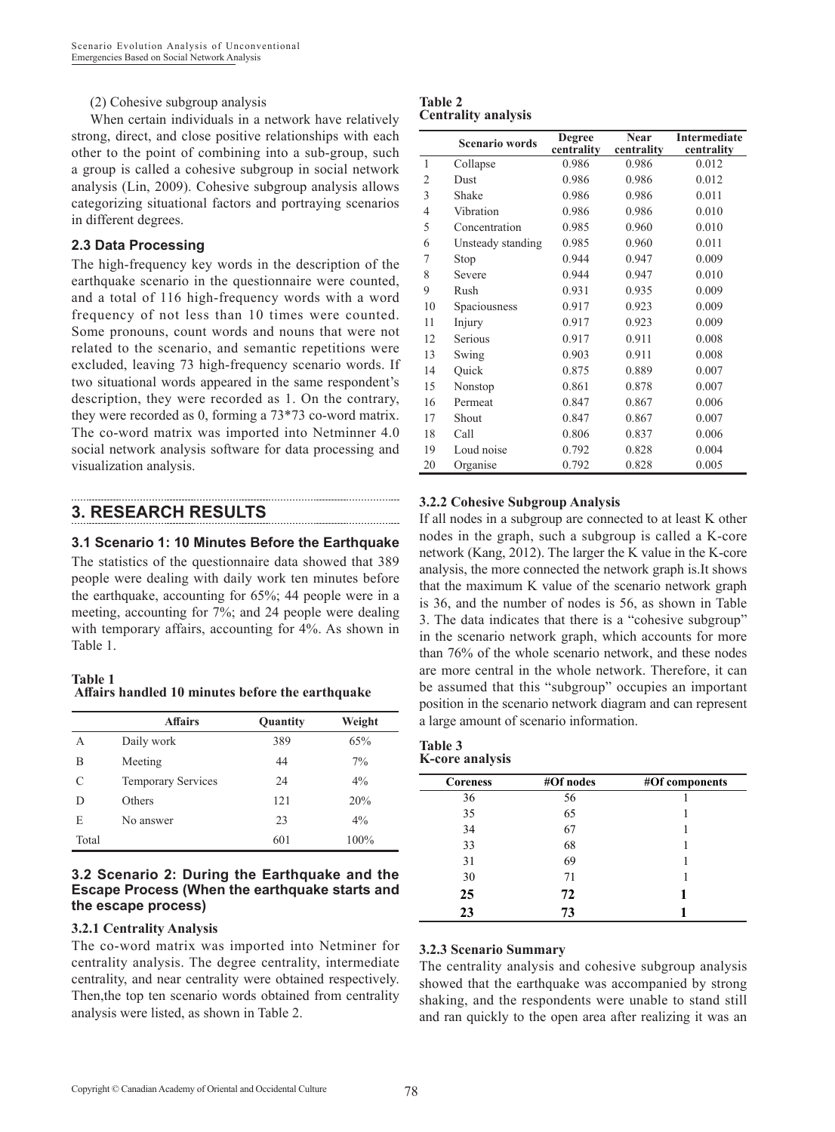(2) Cohesive subgroup analysis

When certain individuals in a network have relatively strong, direct, and close positive relationships with each other to the point of combining into a sub-group, such a group is called a cohesive subgroup in social network analysis (Lin, 2009). Cohesive subgroup analysis allows categorizing situational factors and portraying scenarios in different degrees.

#### **2.3 Data Processing**

The high-frequency key words in the description of the earthquake scenario in the questionnaire were counted, and a total of 116 high-frequency words with a word frequency of not less than 10 times were counted. Some pronouns, count words and nouns that were not related to the scenario, and semantic repetitions were excluded, leaving 73 high-frequency scenario words. If two situational words appeared in the same respondent's description, they were recorded as 1. On the contrary, they were recorded as 0, forming a 73\*73 co-word matrix. The co-word matrix was imported into Netminner 4.0 social network analysis software for data processing and visualization analysis.

# **3. RESEARCH RESULTS**

## **3.1 Scenario 1: 10 Minutes Before the Earthquake**

The statistics of the questionnaire data showed that 389 people were dealing with daily work ten minutes before the earthquake, accounting for 65%; 44 people were in a meeting, accounting for 7%; and 24 people were dealing with temporary affairs, accounting for 4%. As shown in Table 1.

#### **Table 1 Affairs handled 10 minutes before the earthquake**

|       | <b>Affairs</b>            | Quantity | Weight |
|-------|---------------------------|----------|--------|
| A     | Daily work                | 389      | 65%    |
| B     | Meeting                   | 44       | 7%     |
| C     | <b>Temporary Services</b> | 24       | $4\%$  |
| D     | Others                    | 121      | 20%    |
| E     | No answer                 | 23       | $4\%$  |
| Total |                           | 601      | 100%   |

#### **3.2 Scenario 2: During the Earthquake and the Escape Process (When the earthquake starts and the escape process)**

## **3.2.1 Centrality Analysis**

The co-word matrix was imported into Netminer for centrality analysis. The degree centrality, intermediate centrality, and near centrality were obtained respectively. Then,the top ten scenario words obtained from centrality analysis were listed, as shown in Table 2.

#### **Table 2 Centrality analysis**

|                | <b>Scenario words</b> | <b>Degree</b><br>centrality | Near<br>centrality | <b>Intermediate</b><br>centrality |
|----------------|-----------------------|-----------------------------|--------------------|-----------------------------------|
| $\mathbf{1}$   | Collapse              | 0.986                       | 0.986              | 0.012                             |
| 2              | Dust                  | 0.986                       | 0.986              | 0.012                             |
| 3              | Shake                 | 0.986                       | 0.986              | 0.011                             |
| $\overline{4}$ | Vibration             | 0.986                       | 0.986              | 0.010                             |
| 5              | Concentration         | 0.985                       | 0.960              | 0.010                             |
| 6              | Unsteady standing     | 0.985                       | 0.960              | 0.011                             |
| 7              | Stop                  | 0.944                       | 0.947              | 0.009                             |
| 8              | Severe                | 0.944                       | 0.947              | 0.010                             |
| 9              | Rush                  | 0.931                       | 0.935              | 0.009                             |
| 10             | Spaciousness          | 0.917                       | 0.923              | 0.009                             |
| 11             | Injury                | 0.917                       | 0.923              | 0.009                             |
| 12             | Serious               | 0.917                       | 0.911              | 0.008                             |
| 13             | Swing                 | 0.903                       | 0.911              | 0.008                             |
| 14             | Ouick                 | 0.875                       | 0.889              | 0.007                             |
| 15             | Nonstop               | 0.861                       | 0.878              | 0.007                             |
| 16             | Permeat               | 0.847                       | 0.867              | 0.006                             |
| 17             | Shout                 | 0.847                       | 0.867              | 0.007                             |
| 18             | Call                  | 0.806                       | 0.837              | 0.006                             |
| 19             | Loud noise            | 0.792                       | 0.828              | 0.004                             |
| 20             | Organise              | 0.792                       | 0.828              | 0.005                             |

## **3.2.2 Cohesive Subgroup Analysis**

If all nodes in a subgroup are connected to at least K other nodes in the graph, such a subgroup is called a K-core network (Kang, 2012). The larger the K value in the K-core analysis, the more connected the network graph is.It shows that the maximum K value of the scenario network graph is 36, and the number of nodes is 56, as shown in Table 3. The data indicates that there is a "cohesive subgroup" in the scenario network graph, which accounts for more than 76% of the whole scenario network, and these nodes are more central in the whole network. Therefore, it can be assumed that this "subgroup" occupies an important position in the scenario network diagram and can represent a large amount of scenario information.

#### **Table 3 K-core analysis**

| <b>Coreness</b> | #Of nodes | #Of components |
|-----------------|-----------|----------------|
| 36              | 56        |                |
| 35              | 65        |                |
| 34              | 67        |                |
| 33              | 68        |                |
| 31              | 69        |                |
| 30              | 71        |                |
| 25              | 72        |                |
| 23              | 73        |                |

## **3.2.3 Scenario Summary**

The centrality analysis and cohesive subgroup analysis showed that the earthquake was accompanied by strong shaking, and the respondents were unable to stand still and ran quickly to the open area after realizing it was an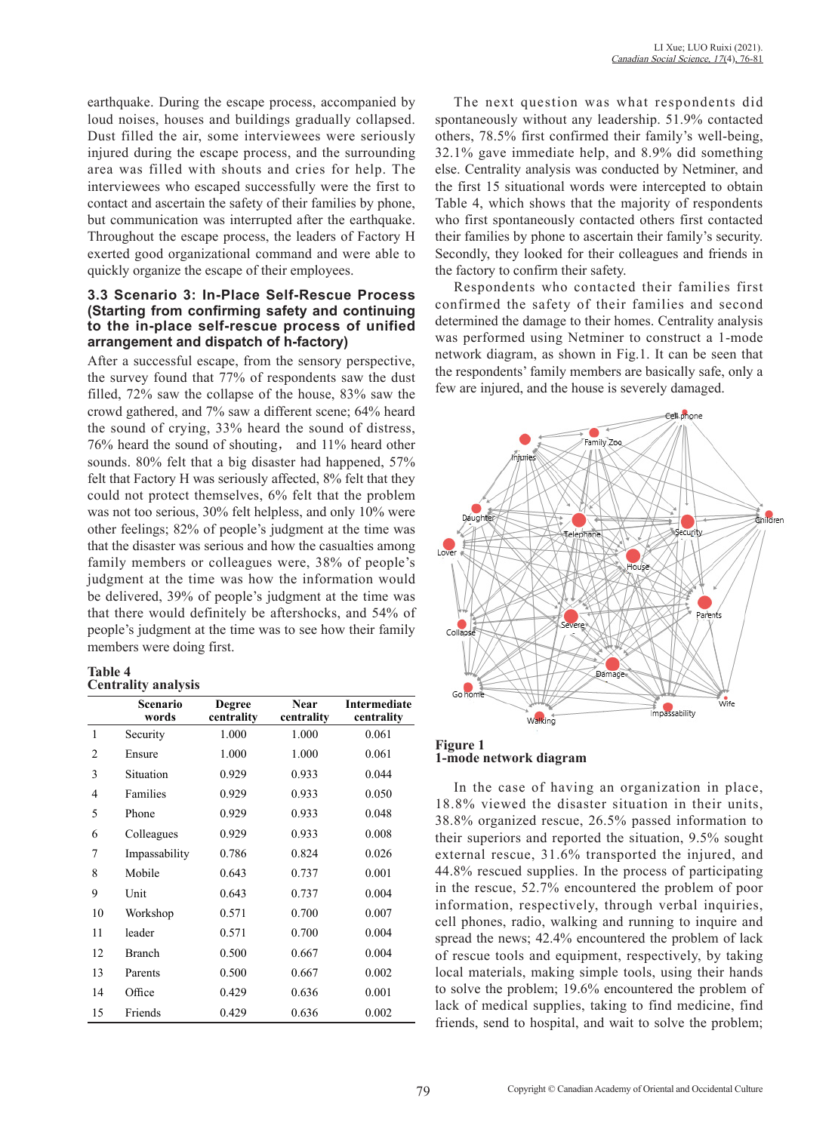earthquake. During the escape process, accompanied by loud noises, houses and buildings gradually collapsed. Dust filled the air, some interviewees were seriously injured during the escape process, and the surrounding area was filled with shouts and cries for help. The interviewees who escaped successfully were the first to contact and ascertain the safety of their families by phone, but communication was interrupted after the earthquake. Throughout the escape process, the leaders of Factory H exerted good organizational command and were able to quickly organize the escape of their employees.

#### **3.3 Scenario 3: In-Place Self-Rescue Process (Starting from confirming safety and continuing to the in-place self-rescue process of unified arrangement and dispatch of h-factory)**

After a successful escape, from the sensory perspective, the survey found that 77% of respondents saw the dust filled, 72% saw the collapse of the house, 83% saw the crowd gathered, and 7% saw a different scene; 64% heard the sound of crying, 33% heard the sound of distress, 76% heard the sound of shouting, and 11% heard other sounds. 80% felt that a big disaster had happened, 57% felt that Factory H was seriously affected, 8% felt that they could not protect themselves, 6% felt that the problem was not too serious, 30% felt helpless, and only 10% were other feelings; 82% of people's judgment at the time was that the disaster was serious and how the casualties among family members or colleagues were, 38% of people's judgment at the time was how the information would be delivered, 39% of people's judgment at the time was that there would definitely be aftershocks, and 54% of people's judgment at the time was to see how their family members were doing first.

#### **Table 4 Centrality analysis**

|                | Scenario<br>words | <b>Degree</b><br>centrality | <b>Near</b><br>centrality | <b>Intermediate</b><br>centrality |
|----------------|-------------------|-----------------------------|---------------------------|-----------------------------------|
| $\mathbf{1}$   | Security          | 1.000                       | 1.000                     | 0.061                             |
| $\overline{2}$ | Ensure            | 1.000                       | 1.000                     | 0.061                             |
| 3              | Situation         | 0.929                       | 0.933                     | 0.044                             |
| 4              | Families          | 0.929                       | 0.933                     | 0.050                             |
| 5              | Phone             | 0.929                       | 0.933                     | 0.048                             |
| 6              | Colleagues        | 0.929                       | 0.933                     | 0.008                             |
| 7              | Impassability     | 0.786                       | 0.824                     | 0.026                             |
| 8              | Mobile            | 0.643                       | 0.737                     | 0.001                             |
| 9              | Unit              | 0.643                       | 0.737                     | 0.004                             |
| 10             | Workshop          | 0.571                       | 0.700                     | 0.007                             |
| 11             | leader            | 0.571                       | 0.700                     | 0.004                             |
| 12             | <b>Branch</b>     | 0.500                       | 0.667                     | 0.004                             |
| 13             | Parents           | 0.500                       | 0.667                     | 0.002                             |
| 14             | Office            | 0.429                       | 0.636                     | 0.001                             |
| 15             | Friends           | 0.429                       | 0.636                     | 0.002                             |

The next question was what respondents did spontaneously without any leadership. 51.9% contacted others, 78.5% first confirmed their family's well-being, 32.1% gave immediate help, and 8.9% did something else. Centrality analysis was conducted by Netminer, and the first 15 situational words were intercepted to obtain Table 4, which shows that the majority of respondents who first spontaneously contacted others first contacted their families by phone to ascertain their family's security. Secondly, they looked for their colleagues and friends in the factory to confirm their safety.

Respondents who contacted their families first confirmed the safety of their families and second determined the damage to their homes. Centrality analysis was performed using Netminer to construct a 1-mode network diagram, as shown in Fig.1. It can be seen that the respondents' family members are basically safe, only a few are injured, and the house is severely damaged.



#### **Figure 1 1-mode network diagram**

In the case of having an organization in place, 18.8% viewed the disaster situation in their units, 38.8% organized rescue, 26.5% passed information to their superiors and reported the situation, 9.5% sought external rescue, 31.6% transported the injured, and 44.8% rescued supplies. In the process of participating in the rescue, 52.7% encountered the problem of poor information, respectively, through verbal inquiries, cell phones, radio, walking and running to inquire and spread the news; 42.4% encountered the problem of lack of rescue tools and equipment, respectively, by taking local materials, making simple tools, using their hands to solve the problem; 19.6% encountered the problem of lack of medical supplies, taking to find medicine, find friends, send to hospital, and wait to solve the problem;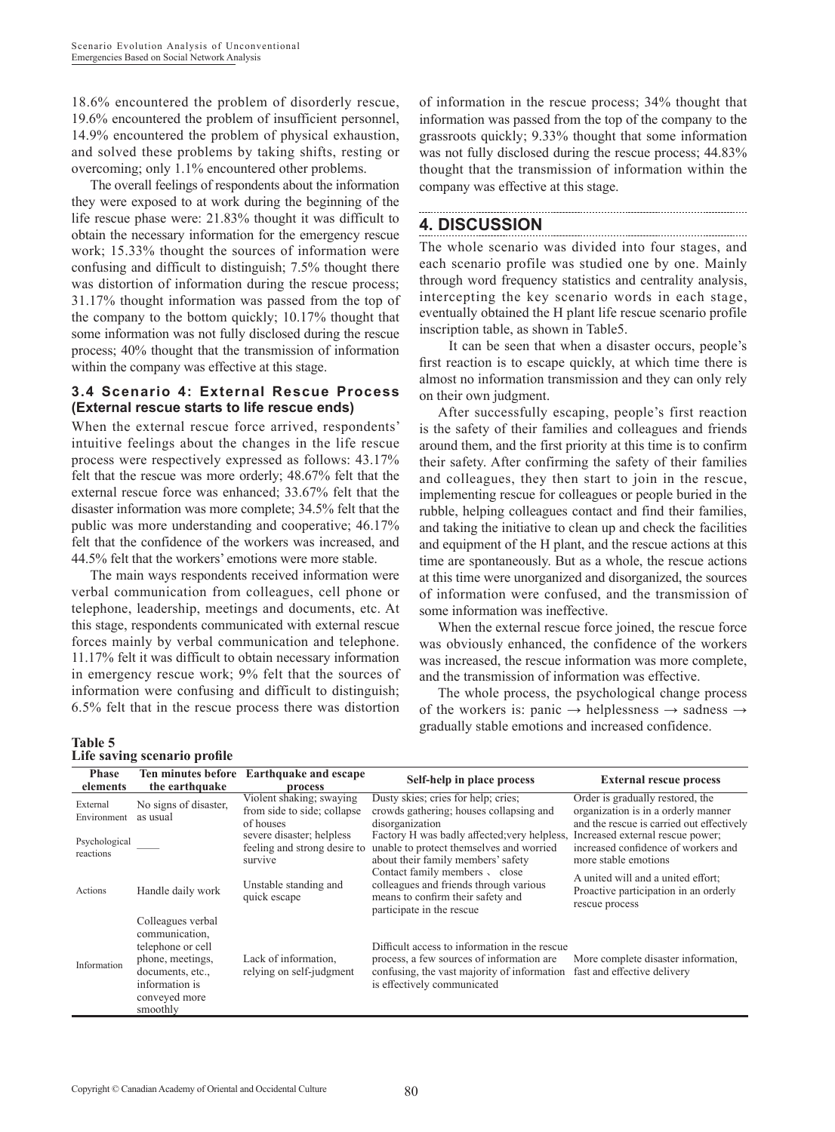18.6% encountered the problem of disorderly rescue, 19.6% encountered the problem of insufficient personnel, 14.9% encountered the problem of physical exhaustion, and solved these problems by taking shifts, resting or overcoming; only 1.1% encountered other problems.

The overall feelings of respondents about the information they were exposed to at work during the beginning of the life rescue phase were: 21.83% thought it was difficult to obtain the necessary information for the emergency rescue work; 15.33% thought the sources of information were confusing and difficult to distinguish; 7.5% thought there was distortion of information during the rescue process; 31.17% thought information was passed from the top of the company to the bottom quickly; 10.17% thought that some information was not fully disclosed during the rescue process; 40% thought that the transmission of information within the company was effective at this stage.

#### **3.4 Scenario 4: External Rescue Process (External rescue starts to life rescue ends)**

When the external rescue force arrived, respondents' intuitive feelings about the changes in the life rescue process were respectively expressed as follows: 43.17% felt that the rescue was more orderly; 48.67% felt that the external rescue force was enhanced; 33.67% felt that the disaster information was more complete; 34.5% felt that the public was more understanding and cooperative; 46.17% felt that the confidence of the workers was increased, and 44.5% felt that the workers' emotions were more stable.

The main ways respondents received information were verbal communication from colleagues, cell phone or telephone, leadership, meetings and documents, etc. At this stage, respondents communicated with external rescue forces mainly by verbal communication and telephone. 11.17% felt it was difficult to obtain necessary information in emergency rescue work; 9% felt that the sources of information were confusing and difficult to distinguish; 6.5% felt that in the rescue process there was distortion

of information in the rescue process; 34% thought that information was passed from the top of the company to the grassroots quickly; 9.33% thought that some information was not fully disclosed during the rescue process; 44.83% thought that the transmission of information within the company was effective at this stage.

# **4. DISCUSSION**

The whole scenario was divided into four stages, and each scenario profile was studied one by one. Mainly through word frequency statistics and centrality analysis, intercepting the key scenario words in each stage, eventually obtained the H plant life rescue scenario profile inscription table, as shown in Table5.

It can be seen that when a disaster occurs, people's first reaction is to escape quickly, at which time there is almost no information transmission and they can only rely on their own judgment.

After successfully escaping, people's first reaction is the safety of their families and colleagues and friends around them, and the first priority at this time is to confirm their safety. After confirming the safety of their families and colleagues, they then start to join in the rescue, implementing rescue for colleagues or people buried in the rubble, helping colleagues contact and find their families, and taking the initiative to clean up and check the facilities and equipment of the H plant, and the rescue actions at this time are spontaneously. But as a whole, the rescue actions at this time were unorganized and disorganized, the sources of information were confused, and the transmission of some information was ineffective.

When the external rescue force joined, the rescue force was obviously enhanced, the confidence of the workers was increased, the rescue information was more complete, and the transmission of information was effective.

The whole process, the psychological change process of the workers is: panic  $\rightarrow$  helplessness  $\rightarrow$  sadness  $\rightarrow$ gradually stable emotions and increased confidence.

#### **Table 5 Life saving scenario profile**

| <b>Phase</b><br>elements   | Ten minutes before<br>the earthquake                                                                                                            | <b>Earthquake and escape</b><br>process                              | Self-help in place process                                                                                                                                               | <b>External rescue process</b>                                                                                       |
|----------------------------|-------------------------------------------------------------------------------------------------------------------------------------------------|----------------------------------------------------------------------|--------------------------------------------------------------------------------------------------------------------------------------------------------------------------|----------------------------------------------------------------------------------------------------------------------|
| External<br>Environment    | No signs of disaster,<br>as usual                                                                                                               | Violent shaking; swaying<br>from side to side; collapse<br>of houses | Dusty skies; cries for help; cries;<br>crowds gathering; houses collapsing and<br>disorganization                                                                        | Order is gradually restored, the<br>organization is in a orderly manner<br>and the rescue is carried out effectively |
| Psychological<br>reactions |                                                                                                                                                 | severe disaster; helpless<br>feeling and strong desire to<br>survive | Factory H was badly affected; very helpless,<br>unable to protect themselves and worried<br>about their family members' safety                                           | Increased external rescue power;<br>increased confidence of workers and<br>more stable emotions                      |
| Actions                    | Handle daily work                                                                                                                               | Unstable standing and<br>quick escape                                | Contact family members, close<br>colleagues and friends through various<br>means to confirm their safety and<br>participate in the rescue                                | A united will and a united effort:<br>Proactive participation in an orderly<br>rescue process                        |
| Information                | Colleagues verbal<br>communication,<br>telephone or cell<br>phone, meetings,<br>documents, etc.,<br>information is<br>conveyed more<br>smoothly | Lack of information,<br>relying on self-judgment                     | Difficult access to information in the rescue<br>process, a few sources of information are<br>confusing, the vast majority of information<br>is effectively communicated | More complete disaster information,<br>fast and effective delivery                                                   |